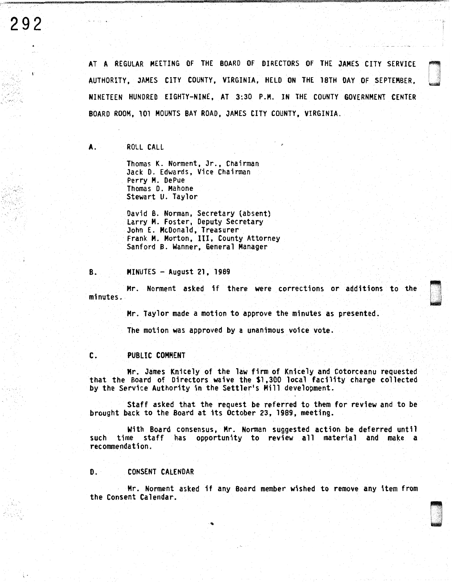્ર

AT A REGULAR MEETING OF THE BOARD OF DIRECTORS OF THE JAMES CITY SERVICE AUTHORITY, JAMES CITY COUNTY, VIRGINIA, HELD ON THE lBTH DAY OF SEPTEMBER, NINETEEN HUNDRED EIGHTY-NINE, AT 3:30 P.H. IN THE COUNTY GOVERNMENT CENTER BOARD ROOM, 101 MOUNTS BAY ROAD, JAMES CITY COUNTY, VIRGINIA.

#### A. ROLL CALL

Thomas K. Norment, Jr., Chairman Jack D. Edwards, Vice Chairman Perry H. DePue Thomas D. Mahone Stewart U. Taylor

David B. Norman, Secretary (absent) Larry H. Foster, Deputy Secretary John E. McDonald, Treasurer Frank M. Horton, III, County Attorney Sanford B. Wanner, General Manager

#### B. MINUTES - August 21, 1989

Mr. Norment asked if there were corrections or additions to the minutes.

Mr. Taylor made a motion to approve the minutes as presented.

The motion was approved by a unanimous voice vote.

#### C. PUBLIC COMMENT

Mr. James Knicely of the law firm of Knicely and Cotorceanu requested that the Board of Directors waive the \$1,300 local facility charge collected by the Service Authority in the Settler's Hill development.

Staff asked that the request be referred to them for review and to be brought back to the Board at its October 23, 1989, meeting.

With Board consensus, Mr. Norman suggested action be deferred until such time staff has opportunity to review all material and make a recommendation.

#### D. CONSENT CALENDAR

Mr. Norment asked if any Board member wished to remove any item from the Consent Calendar.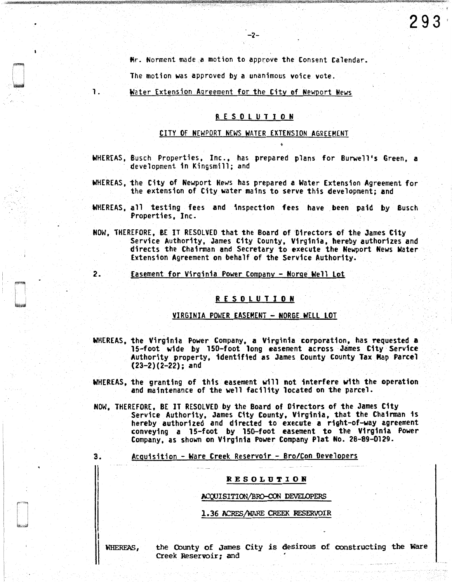Mr. Norment made a motion to approve the Consent Calendar.

-2-

The motion was approved by a unanimous voice vote.

l. Water Extension Agreement for the City of Newport News

#### R E S 0 l U T I 0 N

#### CITY OF NEWPORT NEWS WATER EXTENSION AGREEMENT

- WHEREAS, Busch Properties, Inc., has prepared plans for Burwell's Green, a development in Kingsmill; and
- WHEREAS, the City of Newport News has prepared a Water Extension Agreement for the extension of City water mains to serve this development; and
- WHEREAS, all testing fees and inspection fees have been paid by Busch Properties, Inc.
- NOW, THEREFORE, BE IT RESOLVED that the Board of Directors of the James City Service Authority, James City County, Virginia, hereby authorizes and directs the Chairman and Secretary to execute the Newport News Water Extension Agreement on behalf of the Service Authority.
- 2. Easement for Virginia Power Company Norge Well Lot

#### R E S 0 L U T I 0 N

#### VIRGINIA POWER EASEMENT - NORGE WELL LOT

- WHEREAS, the Virginia Power Company, a Virginia corporation, has requested a 15-foot wide by 150-foot long easement across James City· Service Authority property, identified as James County County Tax Map Parcel (23-2)(2-22); and
- WHEREAS, the granting of this easement will not interfere with the operation and maintenance of the well facility located on the parcel.
- NOW, THEREFORE, BE IT RESOLVED by the Board of Directors of the James City<br>Service Authority, James City County, Virginia, that the Chairman is<br>hereby authorized and directed to execute a right-of-way agreement hereby authorized and directed to execute aright-of-way agreement conveying a 15-foot by 150-foot easement to the Virginia Power Company, as shown on Virginia Power Company Plat No. 28-89-0129.

#### 3. Acquisition - Ware Creek Reservoir - Bro/Con Developers

#### RESOLUTION

#### ACQUISITION/BRO-CON DEVELOPERS

#### 1. 36 ACRES/WARE CREEK RESERVOIR

WHEREAS,

the County of James City is desirous of constructing the Ware Creek Reservoir; and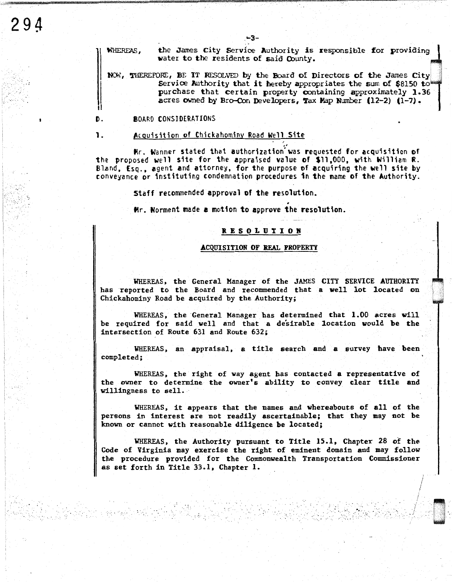the James City Service Authority is responsible for providing WHEREAS. water to the residents of said County.

 $-3-$ 

NOW, THEREFORE, BE IT RESOLVED by the Board of Directors of the James City Service Authority that it hereby appropriates the sum of \$8150 to purchase that certain property containing approximately 1.36 acres owned by Bro-Con Developers, Tax Map Number (12-2) (1-7).

#### Đ. **BOARD CONSIDERATIONS**

**1.** 

294

#### Acquisition of Chickahominy Road Well Site

Mr. Wanner stated that authorization was requested for acquisition of the proposed well site for the appraised value of \$11,000, with William R. Bland, Esq., agent and attorney, for the purpose of acquiring the well site by conveyance or instituting condemnation procedures in the name of the Authority.

Staff recommended approval of the resolution.

Hr. Norment made a motion to approve the resolution.

#### **RESOLUTION**

#### ACQUISITION OF REAL PROPERTY

WHEREAS, the General Manager of the JAMES CITY SERVICE AUTHORITY has reported to the Board and recommended that a well lot located on Chickahominy Road be acquired by the Authority;

WHEREAS, the General Manager has determined that 1.00 acres will be required for said well and that a desirable location would be the intersection of Route 631 and Route 632;

WHEREAS, an appraisal, a title search and a survey have been completed:

WHEREAS, the right of way agent has contacted a representative of the owner to determine the owner's ability to convey clear title and willingness to sell.

WHEREAS, it appears that the names and whereabouts of all of the persons in interest are not readily ascertainable; that they may not be known or cannot with reasonable diligence be located;

WHEREAS, the Authority pursuant to Title 15.1, Chapter 28 of the Code of Virginia may exercise the right of eminent domain and may follow the procedure provided for the Commonwealth Transportation Commissioner as set forth in Title 33.1, Chapter 1.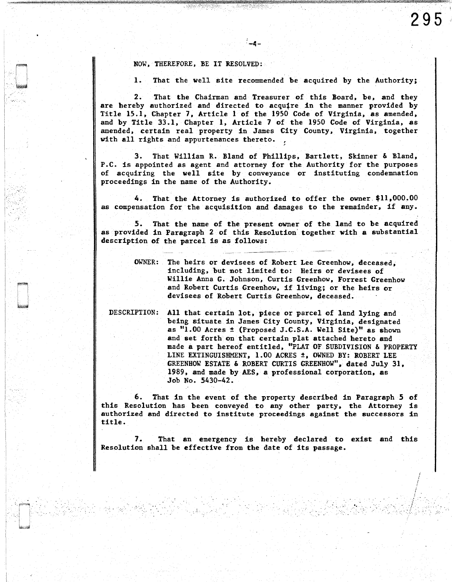*!*  / i

NOW, THEREFORE, BE IT RESOLVED:

. ..

 $|s_{\rm{eff}}| \geq 0$ 

J

I. That the well site recommended be acquired by the Authority;

2. That the Chairman and Treasurer of this Board, be, and they are hereby authorized and directed to acquire in the manner provided by Title 15.1, Chapter 7, Article 1 of the 1950 Code of Virginia, as amended, and by Title 33.1, Chapter 1, Article 7 of the 1950 Code of Virginia, as amended, certain real property in James City County, Virginia, together with all rights and appurtenances thereto.

-4-

3. That William R. Bland of Phillips, Bartlett, Skinner & Bland, P.C. is appointed as agent and attorney for the Authority for the purposes of acquiring the well site by conveyance or instituting condemnation proceedings in the name of the Authority.

4. That the Attorney is authorized to offer the owner.\$11,000.00 as compensation for the acquisition and damages to the remainder, if any.

*S.* That the name of the present owner of the land to be acquired as provided in Paragraph 2 of this Resolution' together with a substantial description of the parcel is as follows:

| OWNER: The heirs or devisees of Robert Lee Greenhow, deceased, |
|----------------------------------------------------------------|
| including, but not limited to: Heirs or devisees of            |
| Willie Anna G. Johnson, Curtis Greenhow, Forrest Greenhow      |
| and Robert Curtis Greenhow, if living; or the heirs or         |
| devisees of Robert Curtis Greenhow, deceased.                  |

DESCRIPTION: All that certain lot, piece or parcel of land lying and being situate in James City County, Virginia, designated as "LOO Acres ± (Proposed J.C.S.A. Well Site)" as shown and set forth on that certain plat attached hereto and made a part hereof entitled, "PLAT OF SUBDIVISION & PROPERTY LINE EXTINGUISHMENT,  $1.00$  ACRES  $\pm$ , OWNED BY: ROBERT LEE GREENHOW ESTATE & ROBERT CURTIS GREENHOW", dated July 31, 1989, and made by AES, a professional corporation, as Job No. 5430-42.

6. That in the event of the property described in Paragraph 5 of this Resolution has been conveyed to any other party, the Attorney is authorized and directed to institute proceedings against the successors in title.

7. That an emergency is hereby declared to exist and this Resolution shall be effective from the date of its passage.

· .. . . . .,.\_ .. '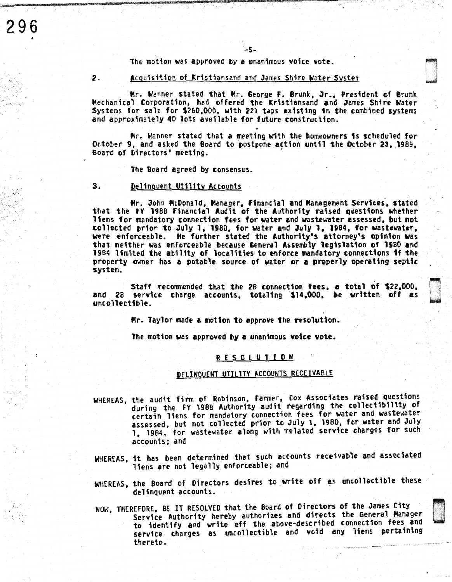The motion was approved by a unanimous voice vote.

#### 2. Acquisition of Kristiansand and James Shire Water System

Mr. Wanner stated that Mr. George F. Brunk, Jr., President of Brunk Mechanical Corporation, had offered the Kristiansand and James Shire Water Systems for sale for \$260,000, with 221 taps existing 1n the combined systems and approximately 40 lots available for future construction.

-5-

Mr. Wanner stated that a meeting with the homeowners 1s scheduled for October 9, and asked the Board to postpone action until the October 23, 1989, Board of Directors' meeting.

The Board agreed by consensus.

#### 3. Delinquent Utility Accounts

296

Mr. John McDonald, Manager, Financial and Management Services, stated that the FY 1988 Financial Audit of the Authority raised questions whether liens for mandatory connection fees for water and wastewater assessed, but not collected prior to July 1, 1980, for water end July 1, 1984, for wastewater, were enforceable. He further stated the Authority's attorney's opinion was that neither was enforceable because General Assembly legislation of 1980 and 1984 limited the ability of localities to enforce mandatory connections 1f the property owner has a potable source of water or a properly operating septic system.

Staff reconrnended that the 28 connection fees, e total of \$22,000, and 28 service charge accounts, totaling \$14,000, be written off es uncollectible.

il w

Mr. Taylor made a motion to approve the resolution.

The motion was approved by a unanimous voice vote.

#### R E S 0 l U T I 0 N

#### DELINQUENT UTILITY ACCOUNTS RECEIVABLE

- WHEREAS, the audit firm of Robinson, Farmer, Cox Associates raised questions during the FY 1988 Authority audit regarding the collectibility of certain liens for mandatory connection fees for water and wastewater<br>assessed, but not collected prior to July 1, 1980, for water and July 1, 1984, for wastewater along with related service charges for such accounts; and
- WHEREAS, it has been determined that such accounts receivable and associated liens are not legally enforceable; and
- WHEREAS, the Board of Directors desires to write off as uncollectible these · delinquent accounts.
- NOW, THEREFORE, BE IT RESOLVED that the Board of Directors of the James City<br>Service Authority hereby authorizes and directs the General Manager to identify and write off the above-described connection fees and service charges as uncollectible and void any liens pertaining thereto.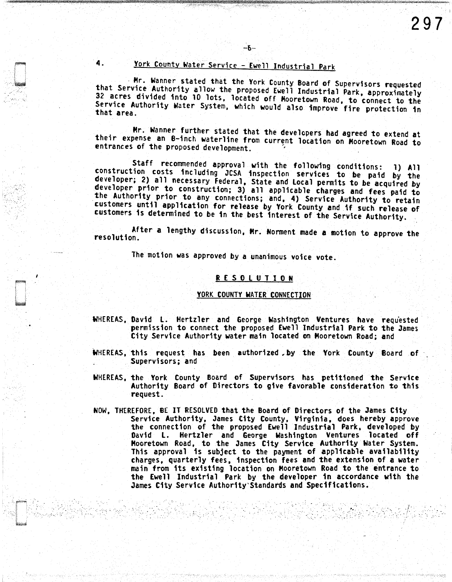### 4. York Countv Water Service - £well Industrial Park

-6-

- Mr. Wanner stated that the York County Board of Supervisors requested that Service Authority allow the proposed Ewell Industrial Park, approximately 32 acres divided into 10 lots, located off Mooretown Road, to connect to the Service Authority Water System, which would also improve fire protection in that area.

Mr. Wanner further stated that the developers had agreed to extend at their expense an 8-inch waterline from current location on Mooretown Road to entrances of the proposed development.

Staff recommended approval with the following conditions: 1) All construction costs including JCSA inspection services to be paid by the developer; 2) all necessary Federal, State and Local permits to be acquired by developer prior to construction; 3) all applicable charges and fees paid to the Authority prior to any connections; and, 4) Service Authority to retain customers until application for release by York County and 1f such release of customers is determined to be in *the* best interest of *the* Service Authority.

After a lengthy discussion, Mr. Norment made a motion to approve the resolution.

The motion was approved by a unanimous voice vote.

· .. ··.· *···: ..* 

#### R E S 0 L U T 1 0 N

#### YORK COUNTY WATER CONNECTION

- WHEREAS, David L. Hertzler and George Washington Ventures have requested permission to connect the proposed Ewell Industrial Park to the James City Service Authority water main located on Mooretown Road; and
- WHEREAS, this request has been authorized by the York County Board of Supervisors; and
- WHEREAS, the York County Board of Supervisors has petitioned the Service Authority Board of Directors to give favorable consideration to this request.
- NOW, THEREFORE, BE IT RESOLVED that the Board of Directors of the James City<br>Service Authority, James City County, Virginia, does hereby approve<br>the connection of the proposed Ewell Industrial Park, developed by<br>David L. H Mooretown Road, to the James City Service Authority Water System. This approval is subject to the payment of applicable availability charges, quarterly fees, inspection fees and the extension of a water main from its existing location on Mooretown Road to the entrance to the Ewell Industrial Park by *the* developer 1n accordance with the James City Service Authority Standards and Specifications.

-·.\_·. .· ·',:

':·,. ·.: "'•· . /.. ·.

 $\sim$  ...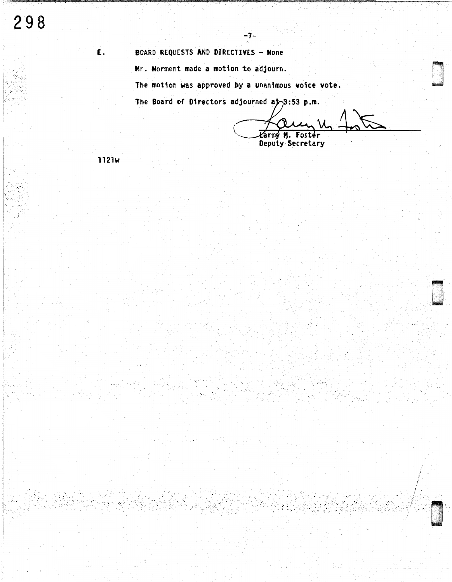#### **BOARD REQUESTS AND DIRECTIVES - None**

Mr. Norment made a motion to adjourn.

The motion was approved by a unanimous voice vote.

ーフー

The Board of Directors adjourned at 3:53 p.m.

tér Deputy Secretary

**1121w** 

£.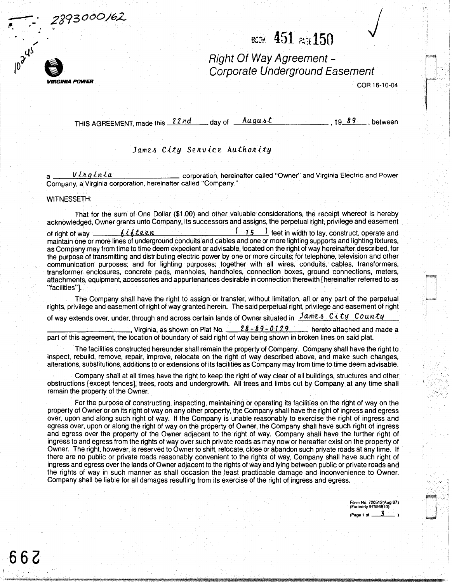2893000/62



..----:--- .

.. r

/  $\sim$ 

,.,

## BCCH: 451 **Page 150**

Right Of Way Agreement - Corporate Underground Easement

COR 16-10-04

r,~ I I.· rj

THIS AGREEMENT, made this *22nd*  day of August , 19 89 , between

#### James City Service Authority

Vinginia **Charles Communist Communist Communist** corporation, hereinafter called "Owner" and Virginia Electric and Power Company, a Virginia corporation, hereinafter called "Company."

#### WITNESSETH:

That for the sum of One Dollar (\$1.00) and other valuable considerations, the receipt whereof is hereby acknowledged, Owner grants unto Company, its successors and assigns, the perpetual right, privilege and easement of right of way <u>6 if the end (15)</u> feet in width to lay, construct, operate and maintain one or more lines of underground conduits and cables and one or more lighting supports and lighting fixtures, as Company may from time to time deem expedient or advisable, located on the right of way hereinafter described, for the purpose of transmitting and distributing electric power by one or more circuits; for telephone, television and other communication purposes; and for lighting purposes; together with all wires, conduits, cables, transformers, transformer enclosures, concrete pads, manholes, handholes, connection boxes, ground connections, meters, attachments, equipment, accessories and appurtenances desirable in connection therewith [hereinafter referred to as "facilities"].

The Company shall have the right to assign or transfer, without limitation, all or any part of the perpetual rights, privilege and easement of right of way granted herein. The said perpetual right, privilege and easement of right

of way extends over, under, through and across certain lands of Owner situated in  $\frac{James\;City\;Countty}{$ 

. Virginia, as shown on Plat No.  $\frac{28-89-0129}{28}$  hereto attached and made a part of this agreement, the location of boundary of said right of way being shown in broken lines on said plat.

The facilities constructed hereunder shall remain the property of Company. Company shall have the right to inspect, rebuild, remove, repair, improve, relocate on the right of way described above, and make such changes, alterations, substitutions, additions to or extensions of its facilities as Company may from time to time deem advisable.

Company shall at all times have the right to keep the right of way clear of all buildings, structures and other obstructions [except fences], trees, roots and undergrowth. All trees and limbs cut by Company at any time shall remain the property of the Owner.

For the purpose of constructing, inspecting, maintaining or operating its facilities on the right of way on the property of Owner or on its right of way on any other property, the Company shall have the right of ingress and egress over, upon and along such right of way. If the Company is unable reasonably to exercise the right of ingress and egress over, upon or along the right of way on the property of Owner, the Company shall have such right of ingress and egress over the property of the Owner adjacent to the right of way. Company shall have the further right of ingress to and egress from the rights of way over such private roads as may now or hereafter exist on the property of Owner. The right, however, is reserved to Owner to shift, relocate, close or abandon such priyate roads at any time. If there are no public or private roads reasonably convenient to the rights of way, Company shall have such right of ingress and egress over the lands of Owner adjacent to the rights of way and lying between public or private roads and the rights of way in such manner as shall occasion the least practicable damage and inconvenience to Owner. Company shall be liable for all damages resulting from its exercise of the right of ingress and egress.

> Form No. 720512(Aug 87) (Formerly 97556810) (Page 1 of  $\_\_3$

.·.· .•'

I I i I I...""'

**66G**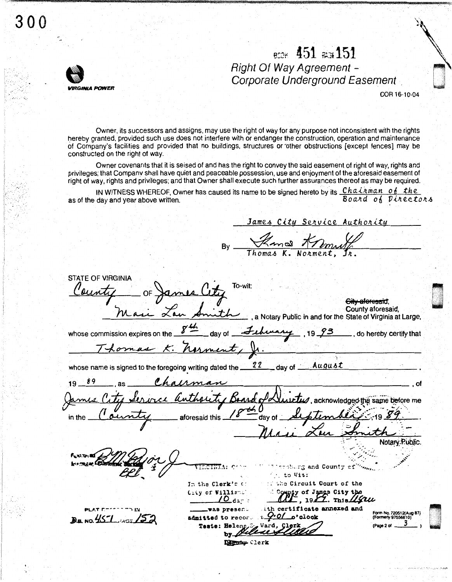# 300

## BCOK 451 PLG151 **Right Of Way Agreement -**Corporate Underground Easement

COR 16-10-04

Owner, its successors and assigns, may use the right of way for any purpose not inconsistent with the rights hereby granted, provided such use does not interfere with or endanger the construction, operation and maintenance of Company's facilities and provided that no buildings, structures or other obstructions [except fences] may be constructed on the right of way.

Owner covenants that it is seised of and has the right to convey the said easement of right of way, rights and privileges; that Company shall have quiet and peaceable possession, use and enjoyment of the aforesaid easement of right of way, rights and privileges; and that Owner shall execute such further assurances thereof as may be required.

IN WITNESS WHEREOF, Owner has caused its name to be signed hereto by its Chairman of the Board of Directors as of the day and year above written.

James City Service Authority Kans Kn **STATE OF VIRGINIA** To-wit ames lity \_ OF City aforesaid a Notary Public in and for the State of Virginia at Large County aforesaid,  $\frac{\mu}{2}$ , 19.73 \_\_, do hereby certify that whose commission expires on the 22 August whose name is signed to the foregoing writing dated the  $\equiv$  day of  $\equiv$ Irman Thoute Ban  $I\!\!\mathcal{U}$  , acknowledged the same before me aforesaid this ...  $\overline{\phantom{a}}$  day of  $\overline{\phantom{a}}$ in the Notary Public shirg and County of to Vit Circuit Court of the In the Clerk's o unty of James City the **Criv of Willia**  $\mathsf{\Gamma}$ , 1947. This 44 $u$ 70 icate annexed and admitted to  $10.457$   $353$ Teste: Denny Clerk

**IRGINIA POWER**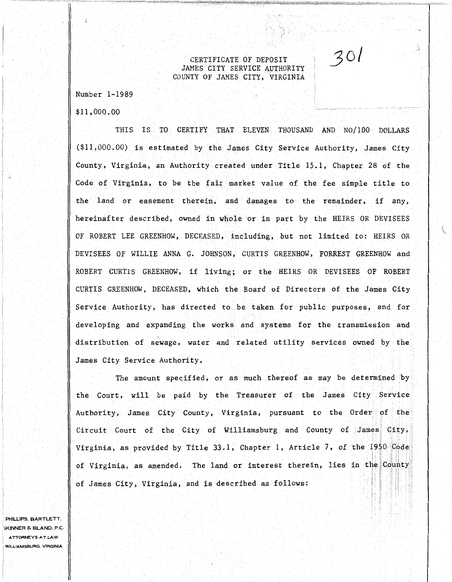CERTIFICATE OF DEPOSIT JAMES CITY SERVICE AUTHORITY COUNTY OF JAMES CITY, VIRGINIA

 $301$ 

Number 1-1989

\$11,000. 00

THIS IS TO CERTIFY THAT ELEVEN THOUSAND AND NO/100 DOLLARS (\$11,000.00) is estimated by the James City Service Authority, James City County, Virginia, an Authority created under Title 15.1, Chapter 28 of the Code of Virginia, to be the fair market value of the fee simple title to the land or easement therein, and damages to the remainder, if any, hereinafter described, owned in whole or in part by the HEIRS OR DEVISEES OF ROBERT LEE GREENHOW, DECEASED, including, but not limited to: HEIRS OR DEVISEES OF WILLIE ANNA G. JOHNSON, CURTIS GREENHOW, FORREST GREENHOW and ROBERT CURTIS GREENHOW, if living; or the HEIRS OR DEVISEES OF ROBERT CURTIS GREENHOW, DECEASED, which the Board of Directors of the James City Service Authority, has directed to be taken for public purposes, and for developing and expanding the works and systems for the transmission and distribution of sewage, water and related utility services owned by the James City Service Authority.

The amount specified, or as much thereof as may be determined by· the Court, will be paid by the Treasurer of the James City Service Authority, James City County, Virginia, pursuant to the Order of the Circuit Court of the City of Williamsburg and County of James City,  $\mathbb{I}$  in  $\mathbb{I}$  is a  $\mathbb{I}$ Virginia, as provided by Title 33.1, Chapter 1, Article 7, of the 1950 Code of Virginia, as amended. The land or interest therein, lies in the County of James City, Virginia, and is described as follows:

PHILLIPS, BARTLETT. 3KINNER & BLAND, P.C. ATTORNEYS AT LAW WILLIAMSBURG, VIRGINIA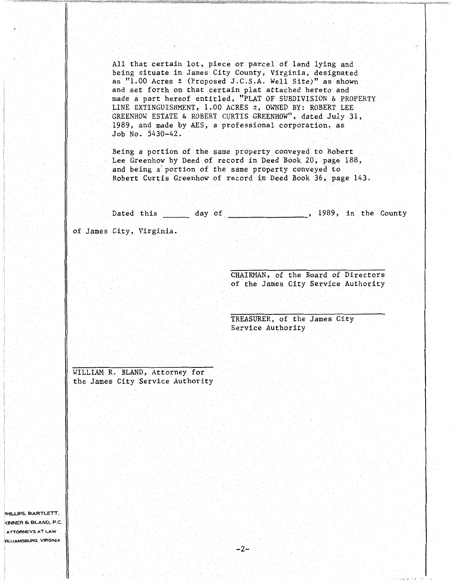All that certain lot, piece or parcel of land lying and being situate in James City County, Virginia, designated as "1.00 Acres± (Proposed J.C.S.A. Well Site)" as shown and set forth on that certain plat attached hereto and made a part hereof entitled, "PLAT OF SUBDIVISION & PROPERTY LINE EXTINGUISHMENT, 1.00 ACRES ±, OWNED BY: ROBERT LEE GREENHOW ESTATE & ROBERT CURTIS GREENHOW", dated July 31, 1989, and made by AES, a professional corporation, as Job No. 5430-42.

Being a portion of the same property conveyed to Robert Lee Greenhaw by Deed of record in Deed Book 20, page 188, and being a' portion of the same property conveyed to Robert Curtis Greenhow of record in Deed Book 36, page 143.

Dated this  $\_\_$  day of  $\_\_$ , 1989, in the County of James City, Virginia.

> CHAIRMAN, of the Board of Directors of the James City Service Authority

> > ···.; -, ...

TREASURER, of the James City Service Authority

WILLIAM R. BLAND, Attorney for the James City Service Authority

1 >HILLIPS, BARTLETT, ~<INNER & BLAND, P.C. ATTORNEYS AT LAW VILlJAMSBURG. VIRGINIA

 $\lnot$